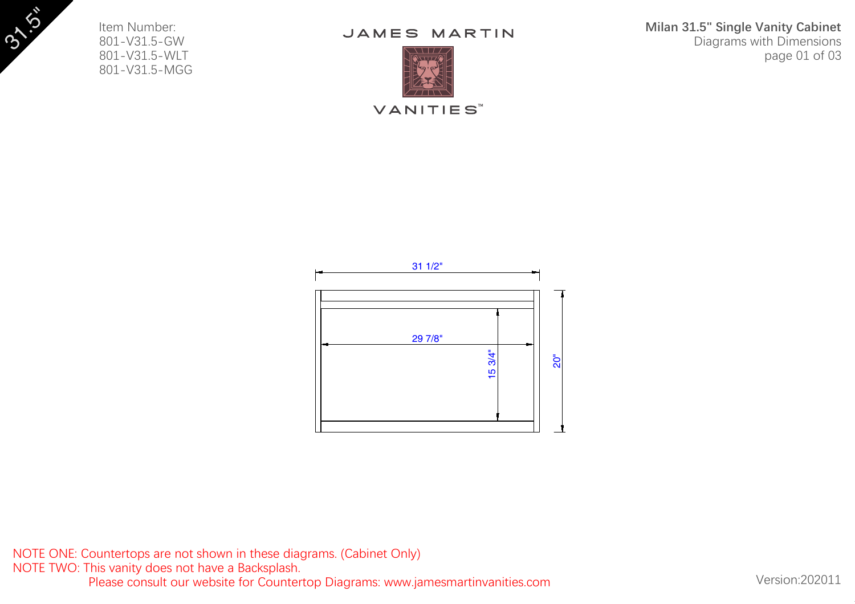Item Number: 801-V31.5-GW 801-V31.5-WLT 801-V31.5-MGG 3"

## JAMES MARTIN



**VANITIES**<sup>™</sup>



NOTE ONE: Countertops are not shown in these diagrams. (Cabinet Only) NOTE TWO: This vanity does not have a Backsplash. Please consult our website for Countertop Diagrams: www.jamesmartinvanities.com Version:202011

**Milan 31.5" Single Vanity Cabinet** Diagrams with Dimensions page 01 of 03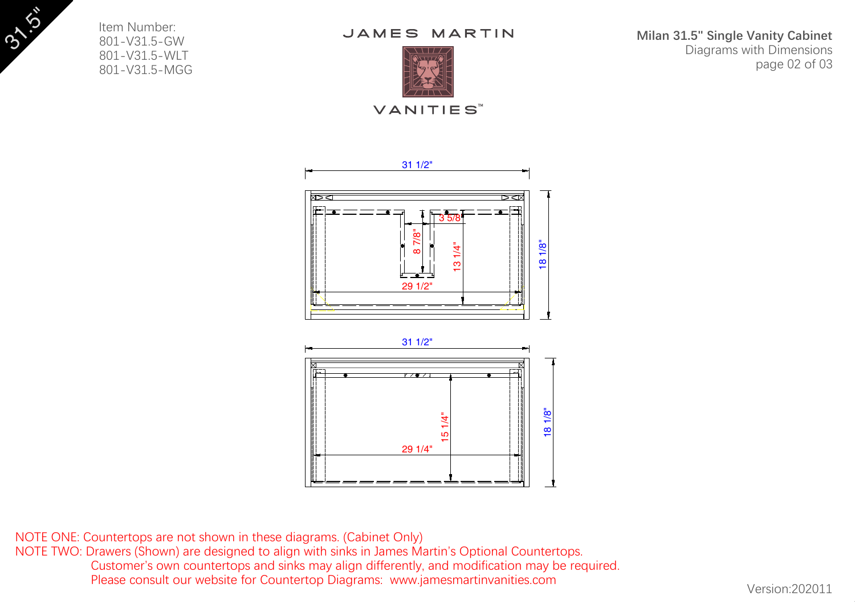Item Number: 801-V31.5-GW 801-V31.5-WLT 801-V31.5-MGG 3"

JAMES MARTIN



**VANITIES**™





NOTE ONE: Countertops are not shown in these diagrams. (Cabinet Only) NOTE TWO: Drawers (Shown) are designed to align with sinks in James Martin's Optional Countertops. Customer's own countertops and sinks may align differently, and modification may be required. Please consult our website for Countertop Diagrams: www.jamesmartinvanities.com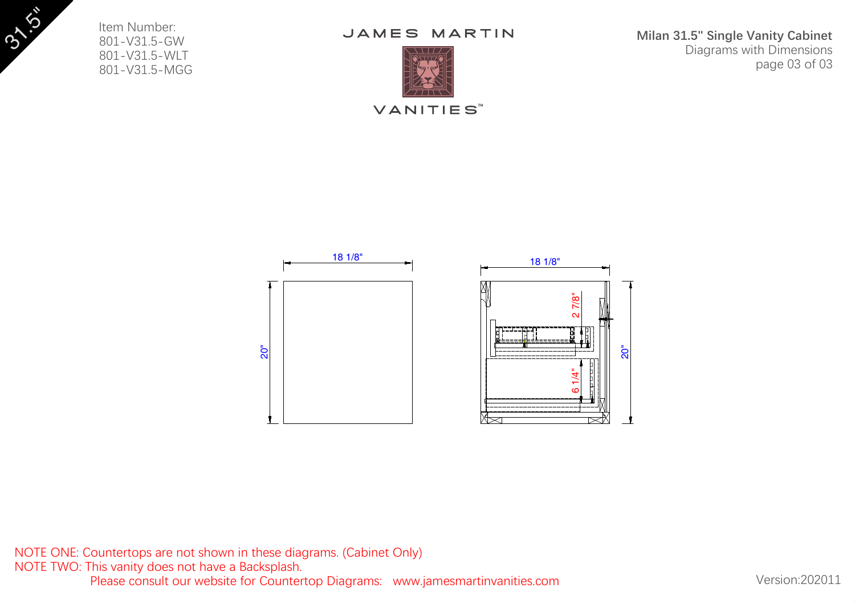**Milan 31.5" Single Vanity Cabinet** Diagrams with Dimensions page 03 of 03

## JAMES MARTIN



Item Number: 801-V31.5-GW 801-V31.5-WLT 801-V31.5-MGG 3"

**VANITIES**<sup>™</sup>



NOTE ONE: Countertops are not shown in these diagrams. (Cabinet Only) NOTE TWO: This vanity does not have a Backsplash. Please consult our website for Countertop Diagrams: www.jamesmartinvanities.com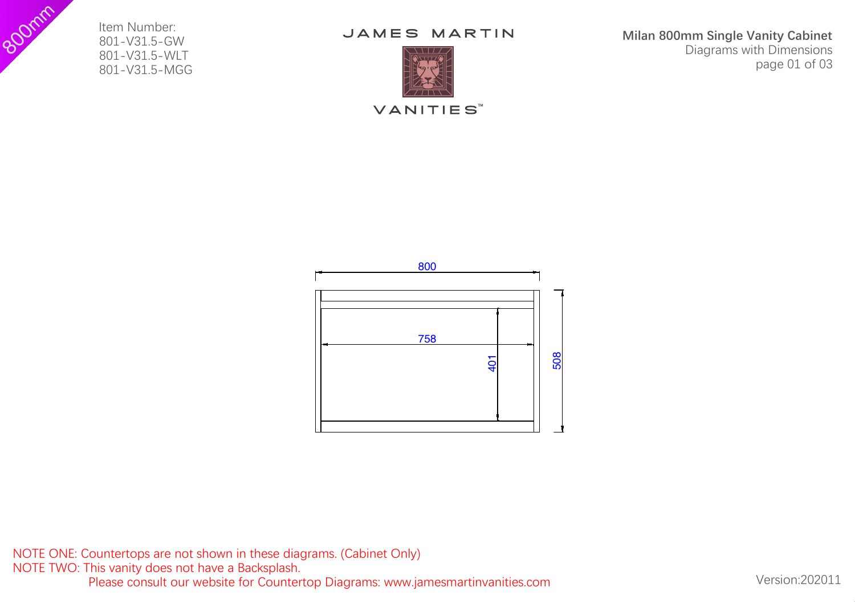Item Number: 801-V31.5-GW 801-V31.5-WLT 801-V31.5-MGG



Form Stem Number:<br>
801-V31.5-GW<br>
801-V31.5-MUT<br>
801-V31.5-MUT<br> **ES MARTIN**<br>
THE STILL CONTROL Milan 800mm Single Vanity Cabinet Diagrams with Dimensions page 01 of 03

**VANITIES**<sup>™</sup>



NOTE ONE: Countertops are not shown in these diagrams. (Cabinet Only) NOTE TWO: This vanity does not have a Backsplash. Please consult our website for Countertop Diagrams: www.jamesmartinvanities.com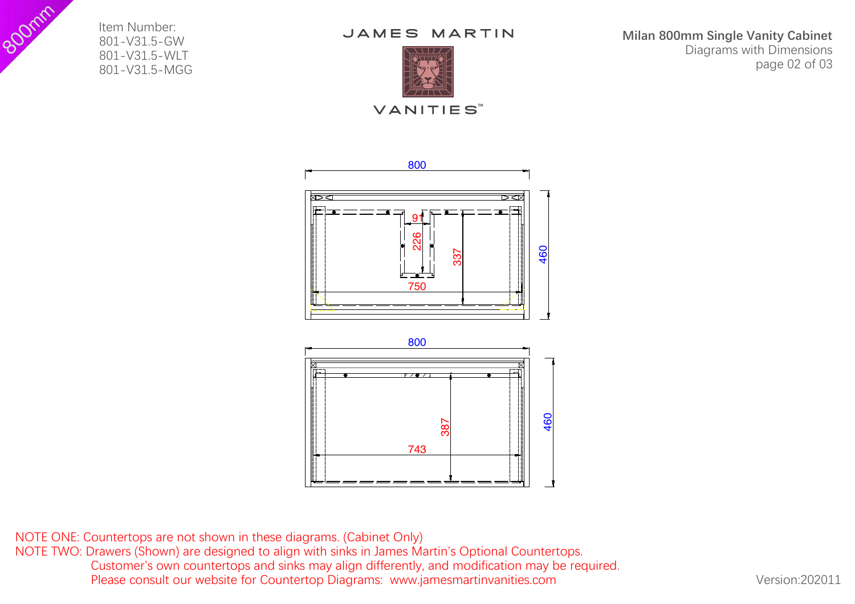Item Number: 801-V31.5-GW 801-V31.5-WLT 801-V31.5-MGG



**VANITIES**™

Form Stem Number:<br>
801-V31.5-GW<br>
801-V31.5-MUT<br>
801-V31.5-MUT<br> **ES MARTIN**<br>
THE STILL CONTROL Milan 800mm Single Vanity Cabinet Diagrams with Dimensions page 02 of 03



NOTE ONE: Countertops are not shown in these diagrams. (Cabinet Only) NOTE TWO: Drawers (Shown) are designed to align with sinks in James Martin's Optional Countertops. Customer's own countertops and sinks may align differently, and modification may be required. Please consult our website for Countertop Diagrams: www.jamesmartinvanities.com